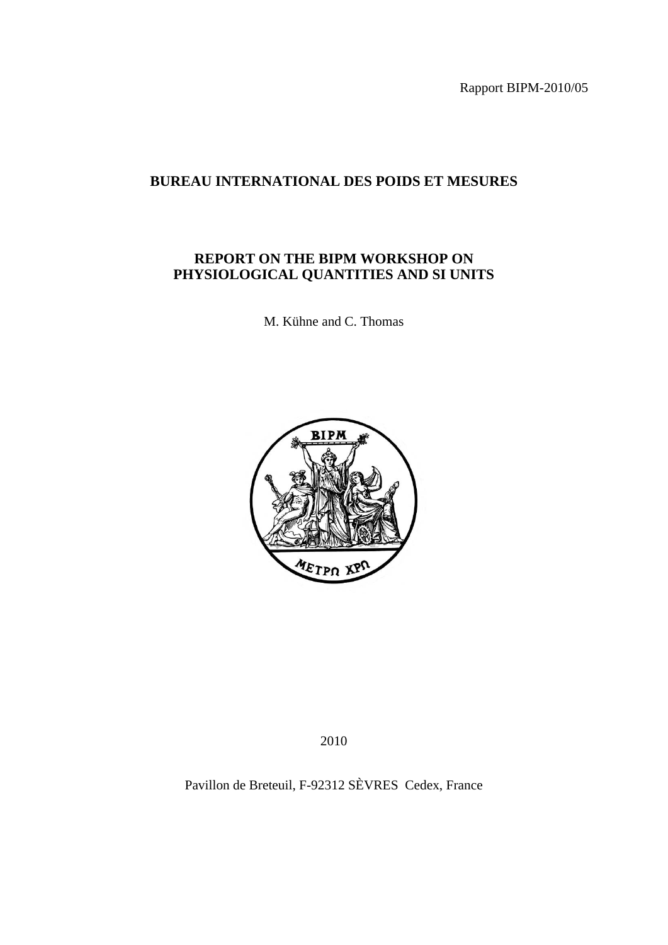Rapport BIPM-2010/05

## **BUREAU INTERNATIONAL DES POIDS ET MESURES**

## **REPORT ON THE BIPM WORKSHOP ON PHYSIOLOGICAL QUANTITIES AND SI UNITS**

M. Kühne and C. Thomas



2010

Pavillon de Breteuil, F-92312 SÈVRES Cedex, France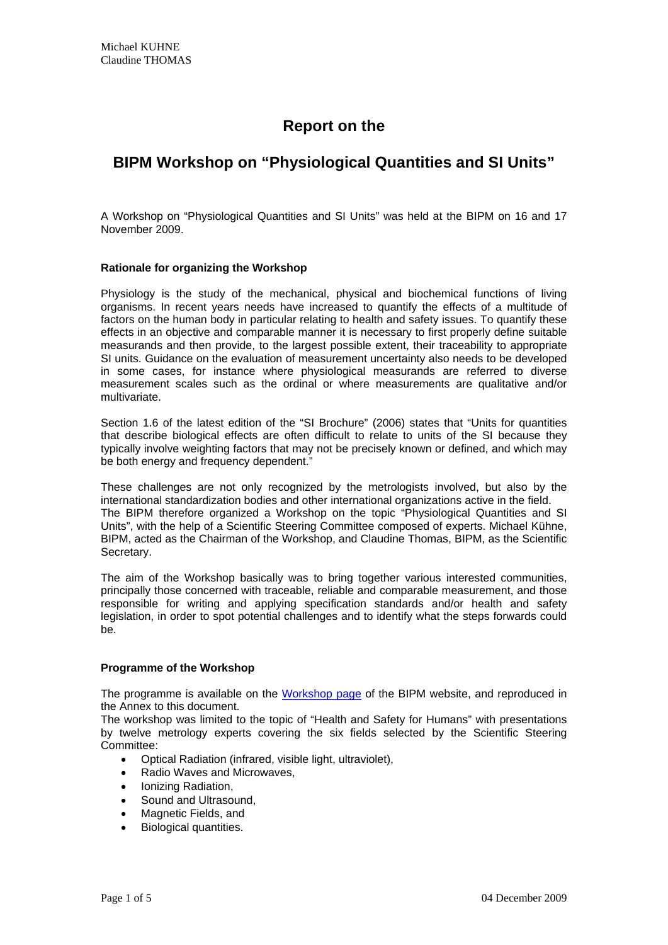# **Report on the**

## **BIPM Workshop on "Physiological Quantities and SI Units"**

A Workshop on "Physiological Quantities and SI Units" was held at the BIPM on 16 and 17 November 2009.

## **Rationale for organizing the Workshop**

Physiology is the study of the mechanical, physical and biochemical functions of living organisms. In recent years needs have increased to quantify the effects of a multitude of factors on the human body in particular relating to health and safety issues. To quantify these effects in an objective and comparable manner it is necessary to first properly define suitable measurands and then provide, to the largest possible extent, their traceability to appropriate SI units. Guidance on the evaluation of measurement uncertainty also needs to be developed in some cases, for instance where physiological measurands are referred to diverse measurement scales such as the ordinal or where measurements are qualitative and/or multivariate.

Section 1.6 of the latest edition of the "SI Brochure" (2006) states that "Units for quantities that describe biological effects are often difficult to relate to units of the SI because they typically involve weighting factors that may not be precisely known or defined, and which may be both energy and frequency dependent."

These challenges are not only recognized by the metrologists involved, but also by the international standardization bodies and other international organizations active in the field. The BIPM therefore organized a Workshop on the topic "Physiological Quantities and SI Units", with the help of a Scientific Steering Committee composed of experts. Michael Kühne, BIPM, acted as the Chairman of the Workshop, and Claudine Thomas, BIPM, as the Scientific Secretary.

The aim of the Workshop basically was to bring together various interested communities, principally those concerned with traceable, reliable and comparable measurement, and those responsible for writing and applying specification standards and/or health and safety legislation, in order to spot potential challenges and to identify what the steps forwards could be.

## **Programme of the Workshop**

The programme is available on the [Workshop page](http://www.bipm.org/en/events/physiological_quantities/) of the BIPM website, and reproduced in the Annex to this document.

The workshop was limited to the topic of "Health and Safety for Humans" with presentations by twelve metrology experts covering the six fields selected by the Scientific Steering Committee:

- Optical Radiation (infrared, visible light, ultraviolet),
- Radio Waves and Microwaves,
- Ionizing Radiation,
- Sound and Ultrasound,
- Magnetic Fields, and
- Biological quantities.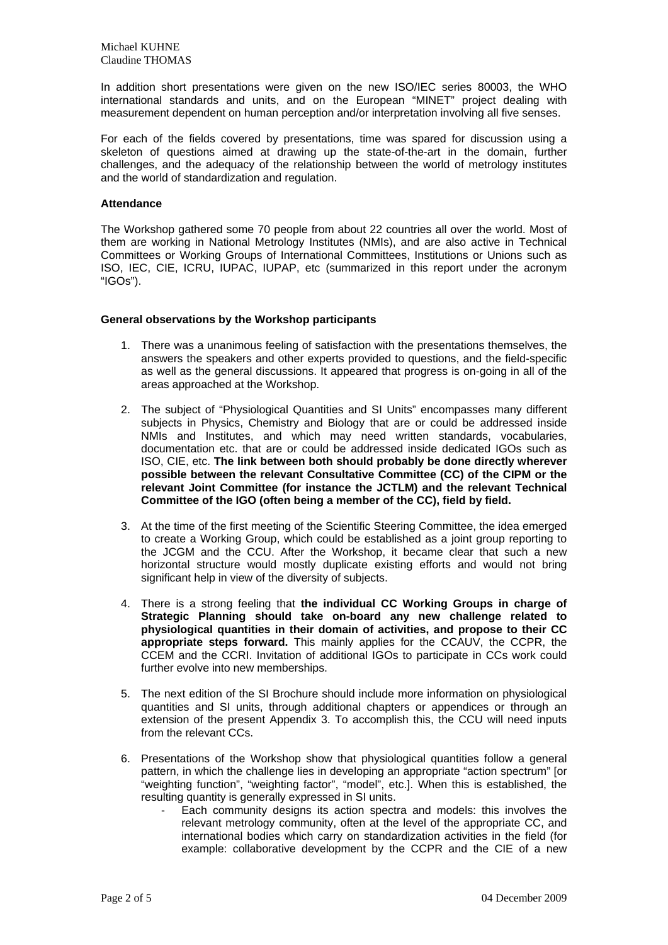In addition short presentations were given on the new ISO/IEC series 80003, the WHO international standards and units, and on the European "MINET" project dealing with measurement dependent on human perception and/or interpretation involving all five senses.

For each of the fields covered by presentations, time was spared for discussion using a skeleton of questions aimed at drawing up the state-of-the-art in the domain, further challenges, and the adequacy of the relationship between the world of metrology institutes and the world of standardization and regulation.

## **Attendance**

The Workshop gathered some 70 people from about 22 countries all over the world. Most of them are working in National Metrology Institutes (NMIs), and are also active in Technical Committees or Working Groups of International Committees, Institutions or Unions such as ISO, IEC, CIE, ICRU, IUPAC, IUPAP, etc (summarized in this report under the acronym "IGOs").

## **General observations by the Workshop participants**

- 1. There was a unanimous feeling of satisfaction with the presentations themselves, the answers the speakers and other experts provided to questions, and the field-specific as well as the general discussions. It appeared that progress is on-going in all of the areas approached at the Workshop.
- 2. The subject of "Physiological Quantities and SI Units" encompasses many different subjects in Physics, Chemistry and Biology that are or could be addressed inside NMIs and Institutes, and which may need written standards, vocabularies, documentation etc. that are or could be addressed inside dedicated IGOs such as ISO, CIE, etc. **The link between both should probably be done directly wherever possible between the relevant Consultative Committee (CC) of the CIPM or the relevant Joint Committee (for instance the JCTLM) and the relevant Technical Committee of the IGO (often being a member of the CC), field by field.**
- 3. At the time of the first meeting of the Scientific Steering Committee, the idea emerged to create a Working Group, which could be established as a joint group reporting to the JCGM and the CCU. After the Workshop, it became clear that such a new horizontal structure would mostly duplicate existing efforts and would not bring significant help in view of the diversity of subjects.
- 4. There is a strong feeling that **the individual CC Working Groups in charge of Strategic Planning should take on-board any new challenge related to physiological quantities in their domain of activities, and propose to their CC appropriate steps forward.** This mainly applies for the CCAUV, the CCPR, the CCEM and the CCRI. Invitation of additional IGOs to participate in CCs work could further evolve into new memberships.
- 5. The next edition of the SI Brochure should include more information on physiological quantities and SI units, through additional chapters or appendices or through an extension of the present Appendix 3. To accomplish this, the CCU will need inputs from the relevant CCs.
- 6. Presentations of the Workshop show that physiological quantities follow a general pattern, in which the challenge lies in developing an appropriate "action spectrum" [or "weighting function", "weighting factor", "model", etc.]. When this is established, the resulting quantity is generally expressed in SI units.
	- Each community designs its action spectra and models: this involves the relevant metrology community, often at the level of the appropriate CC, and international bodies which carry on standardization activities in the field (for example: collaborative development by the CCPR and the CIE of a new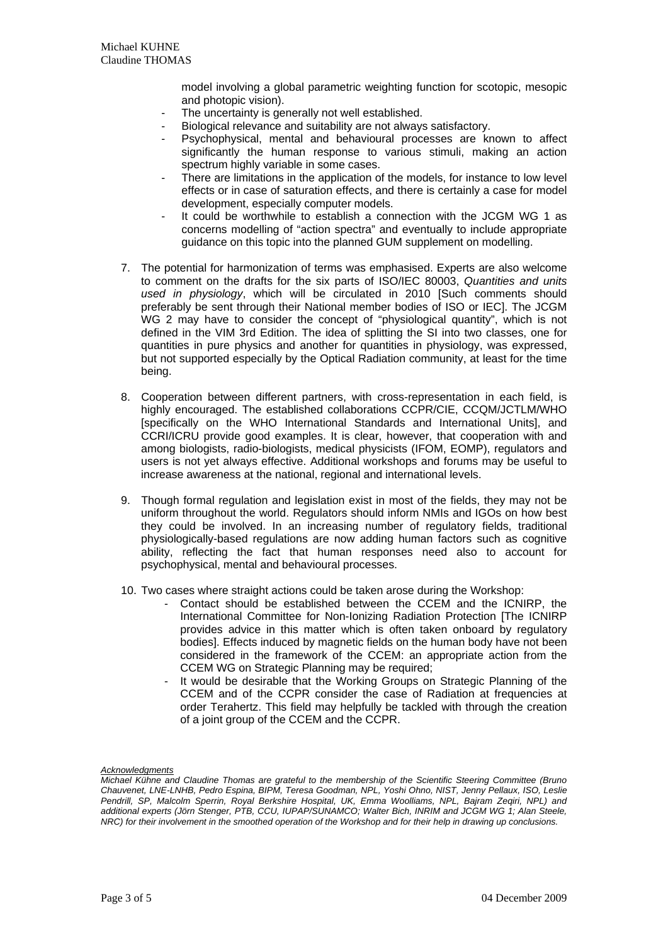model involving a global parametric weighting function for scotopic, mesopic and photopic vision).

- The uncertainty is generally not well established.
- Biological relevance and suitability are not always satisfactory.
- Psychophysical, mental and behavioural processes are known to affect significantly the human response to various stimuli, making an action spectrum highly variable in some cases.
- There are limitations in the application of the models, for instance to low level effects or in case of saturation effects, and there is certainly a case for model development, especially computer models.
- It could be worthwhile to establish a connection with the JCGM WG 1 as concerns modelling of "action spectra" and eventually to include appropriate guidance on this topic into the planned GUM supplement on modelling.
- 7. The potential for harmonization of terms was emphasised. Experts are also welcome to comment on the drafts for the six parts of ISO/IEC 80003, *Quantities and units used in physiology*, which will be circulated in 2010 [Such comments should preferably be sent through their National member bodies of ISO or IEC]. The JCGM WG 2 may have to consider the concept of "physiological quantity", which is not defined in the VIM 3rd Edition. The idea of splitting the SI into two classes, one for quantities in pure physics and another for quantities in physiology, was expressed, but not supported especially by the Optical Radiation community, at least for the time being.
- 8. Cooperation between different partners, with cross-representation in each field, is highly encouraged. The established collaborations CCPR/CIE, CCQM/JCTLM/WHO [specifically on the WHO International Standards and International Units], and CCRI/ICRU provide good examples. It is clear, however, that cooperation with and among biologists, radio-biologists, medical physicists (IFOM, EOMP), regulators and users is not yet always effective. Additional workshops and forums may be useful to increase awareness at the national, regional and international levels.
- 9. Though formal regulation and legislation exist in most of the fields, they may not be uniform throughout the world. Regulators should inform NMIs and IGOs on how best they could be involved. In an increasing number of regulatory fields, traditional physiologically-based regulations are now adding human factors such as cognitive ability, reflecting the fact that human responses need also to account for psychophysical, mental and behavioural processes.
- 10. Two cases where straight actions could be taken arose during the Workshop:
	- Contact should be established between the CCEM and the ICNIRP, the International Committee for Non-Ionizing Radiation Protection [The ICNIRP provides advice in this matter which is often taken onboard by regulatory bodies]. Effects induced by magnetic fields on the human body have not been considered in the framework of the CCEM: an appropriate action from the CCEM WG on Strategic Planning may be required;
	- It would be desirable that the Working Groups on Strategic Planning of the CCEM and of the CCPR consider the case of Radiation at frequencies at order Terahertz. This field may helpfully be tackled with through the creation of a joint group of the CCEM and the CCPR.

#### *Acknowledgments*

*Michael Kühne and Claudine Thomas are grateful to the membership of the Scientific Steering Committee (Bruno Chauvenet, LNE-LNHB, Pedro Espina, BIPM, Teresa Goodman, NPL, Yoshi Ohno, NIST, Jenny Pellaux, ISO, Leslie Pendrill, SP, Malcolm Sperrin, Royal Berkshire Hospital, UK, Emma Woolliams, NPL, Bajram Zeqiri, NPL) and additional experts (Jörn Stenger, PTB, CCU, IUPAP/SUNAMCO; Walter Bich, INRIM and JCGM WG 1; Alan Steele, NRC) for their involvement in the smoothed operation of the Workshop and for their help in drawing up conclusions.*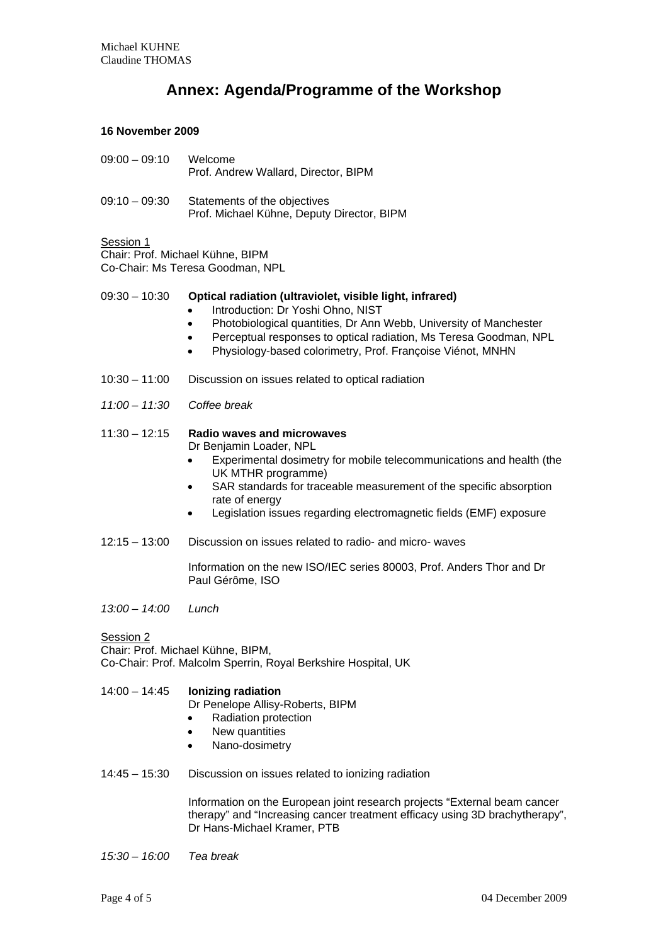# **Annex: Agenda/Programme of the Workshop**

## **16 November 2009**

| $09:00 - 09:10$ | Welcome<br>Prof. Andrew Wallard, Director, BIPM                            |
|-----------------|----------------------------------------------------------------------------|
| $09:10 - 09:30$ | Statements of the objectives<br>Prof. Michael Kühne, Deputy Director, BIPM |

## Session 1

Chair: Prof. Michael Kühne, BIPM Co-Chair: Ms Teresa Goodman, NPL

## 09:30 – 10:30 **Optical radiation (ultraviolet, visible light, infrared)**

- Introduction: Dr Yoshi Ohno, NIST
- Photobiological quantities, Dr Ann Webb, University of Manchester
- Perceptual responses to optical radiation, Ms Teresa Goodman, NPL
- Physiology-based colorimetry, Prof. Françoise Viénot, MNHN
- 10:30 11:00 Discussion on issues related to optical radiation
- *11:00 11:30 Coffee break*
- 11:30 12:15 **Radio waves and microwaves** Dr Benjamin Loader, NPL
	- Experimental dosimetry for mobile telecommunications and health (the UK MTHR programme)
	- SAR standards for traceable measurement of the specific absorption rate of energy
	- Legislation issues regarding electromagnetic fields (EMF) exposure
- 12:15 13:00 Discussion on issues related to radio- and micro- waves

Information on the new ISO/IEC series 80003, Prof. Anders Thor and Dr Paul Gérôme, ISO

*13:00 – 14:00 Lunch* 

Session 2 Chair: Prof. Michael Kühne, BIPM, Co-Chair: Prof. Malcolm Sperrin, Royal Berkshire Hospital, UK

14:00 – 14:45 **Ionizing radiation** Dr Penelope Allisy-Roberts, BIPM

- Radiation protection
- New quantities
- Nano-dosimetry
- 14:45 15:30 Discussion on issues related to ionizing radiation

Information on the European joint research projects "External beam cancer therapy" and "Increasing cancer treatment efficacy using 3D brachytherapy", Dr Hans-Michael Kramer, PTB

*15:30 – 16:00 Tea break*